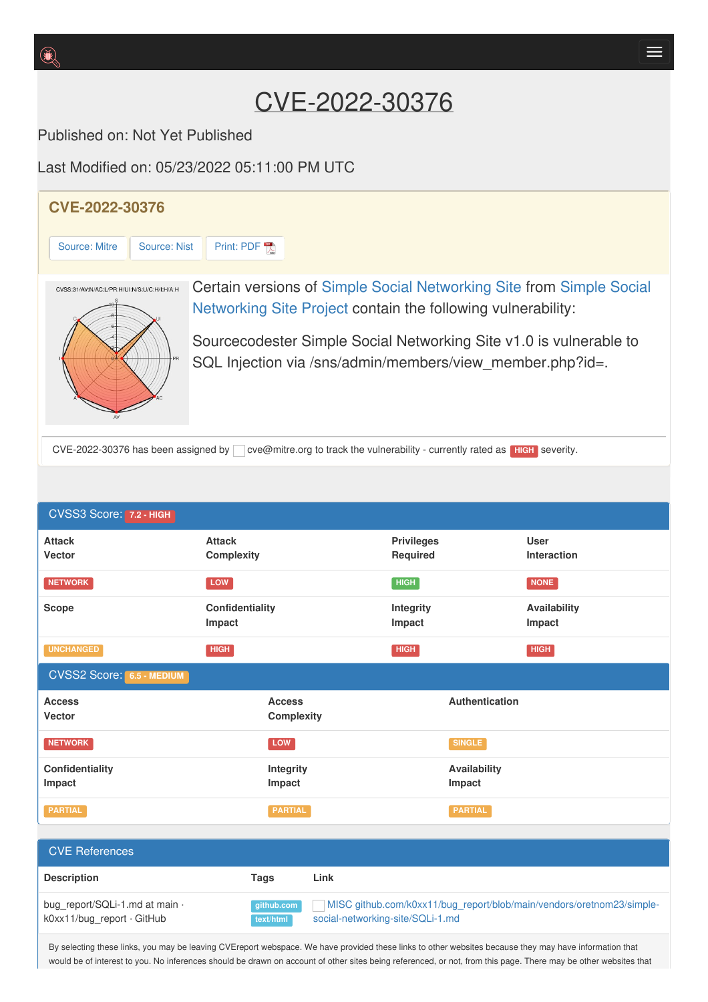## CVE-2022-30376

Published on: Not Yet Published

Last Modified on: 05/23/2022 05:11:00 PM UTC

**Impact**

**Description Tags Link**

CVSS2 Score: **6.5 - MEDIUM**

**Access Vecto[r](http://cve.report/glossary/cvss-2-score-details/)**

**Impact**

**Confidentiality**

CVE References

bug\_report/SQLi-1.md at main  $\cdot$ k0xx11/bug\_report · GitHub

**UNCHANGED HIGH HIGH HIGH**

**Access Complexity**

**Integrity Impact**

**NETWORK SINGLE** 

**PARTIAL PARTIAL PARTIAL**

**github.com text/html**



**Impact**

**Impact**

**Authentication**

**Availability Impact**

MISC [github.com/k0xx11/bug\\_report/blob/main/vendors/oretnom23/simple-](https://github.com/k0xx11/bug_report/blob/main/vendors/oretnom23/simple-social-networking-site/SQLi-1.md)

By selecting these links, you may be leaving CVEreport webspace. We have provided these links to other websites because they may have information that would be of interest to you. No inferences should be drawn on account of other sites being referenced, or not, from this page. There may be other websites that

social-networking-site/SQLi-1.md